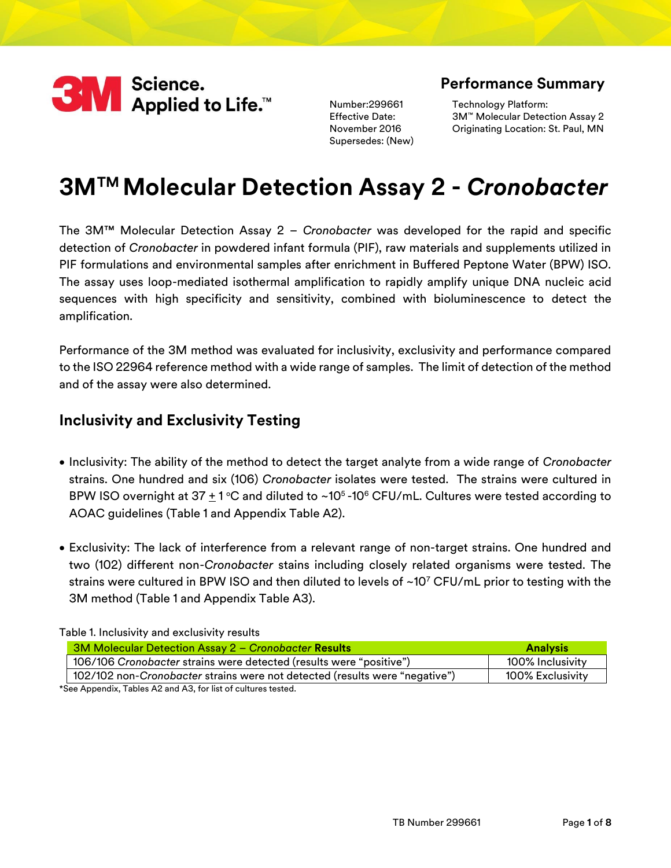

Number:299661 Effective Date: November 2016 Supersedes: (New)

### **Performance Summary**

Technology Platform: 3M™ Molecular Detection Assay 2 Originating Location: St. Paul, MN

# **3MTM Molecular Detection Assay 2 -** *Cronobacter*

The 3M™ Molecular Detection Assay 2 – *Cronobacter* was developed for the rapid and specific detection of *Cronobacter* in powdered infant formula (PIF), raw materials and supplements utilized in PIF formulations and environmental samples after enrichment in Buffered Peptone Water (BPW) ISO. The assay uses loop-mediated isothermal amplification to rapidly amplify unique DNA nucleic acid sequences with high specificity and sensitivity, combined with bioluminescence to detect the amplification.

Performance of the 3M method was evaluated for inclusivity, exclusivity and performance compared to the ISO 22964 reference method with a wide range of samples. The limit of detection of the method and of the assay were also determined.

#### **Inclusivity and Exclusivity Testing**

- Inclusivity: The ability of the method to detect the target analyte from a wide range of *Cronobacter* strains. One hundred and six (106) *Cronobacter* isolates were tested. The strains were cultured in BPW ISO overnight at 37  $\pm$  1 °C and diluted to ~10<sup>5</sup> -10<sup>6</sup> CFU/mL. Cultures were tested according to AOAC guidelines (Table 1 and Appendix Table A2).
- Exclusivity: The lack of interference from a relevant range of non-target strains. One hundred and two (102) different non-*Cronobacter* stains including closely related organisms were tested. The strains were cultured in BPW ISO and then diluted to levels of  $\sim10^{7}$  CFU/mL prior to testing with the 3M method (Table 1 and Appendix Table A3).

Table 1. Inclusivity and exclusivity results

| 3M Molecular Detection Assay 2 – Cronobacter Results                        | <b>Analysis</b>  |
|-----------------------------------------------------------------------------|------------------|
| 106/106 Cronobacter strains were detected (results were "positive")         | 100% Inclusivity |
| 102/102 non-Cronobacter strains were not detected (results were "negative") | 100% Exclusivity |
| *See Appendix, Tables A2 and A3, for list of cultures tested.               |                  |

TB Number 299661 Page **1** of **8**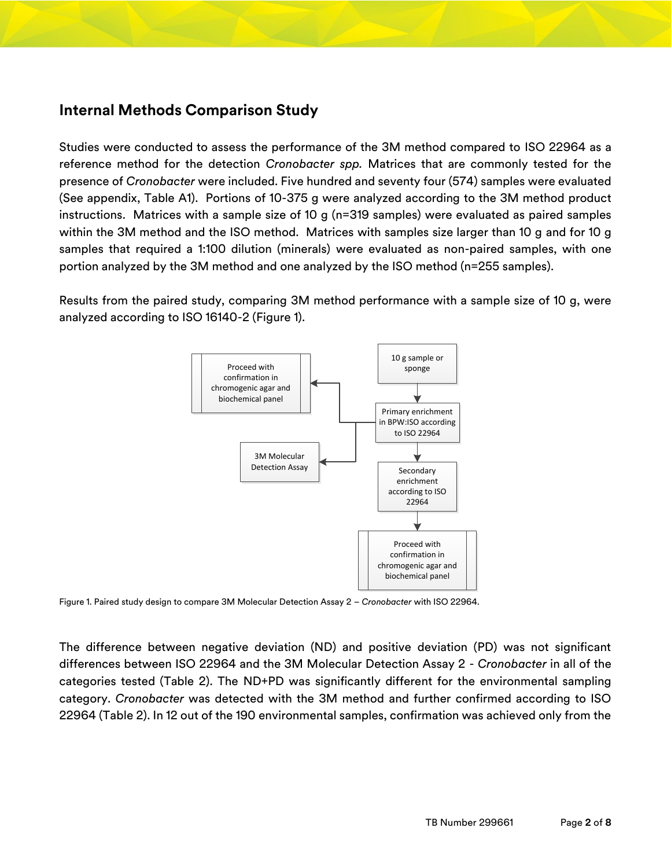#### **Internal Methods Comparison Study**

Studies were conducted to assess the performance of the 3M method compared to ISO 22964 as a reference method for the detection *Cronobacter spp.* Matrices that are commonly tested for the presence of *Cronobacter* were included. Five hundred and seventy four (574) samples were evaluated (See appendix, Table A1). Portions of 10-375 g were analyzed according to the 3M method product instructions. Matrices with a sample size of 10 g (n=319 samples) were evaluated as paired samples within the 3M method and the ISO method. Matrices with samples size larger than 10 g and for 10 g samples that required a 1:100 dilution (minerals) were evaluated as non-paired samples, with one portion analyzed by the 3M method and one analyzed by the ISO method (n=255 samples).

Results from the paired study, comparing 3M method performance with a sample size of 10 g, were analyzed according to ISO 16140-2 (Figure 1).



Figure 1. Paired study design to compare 3M Molecular Detection Assay 2 – *Cronobacter* with ISO 22964.

The difference between negative deviation (ND) and positive deviation (PD) was not significant differences between ISO 22964 and the 3M Molecular Detection Assay 2 - *Cronobacter* in all of the categories tested (Table 2). The ND+PD was significantly different for the environmental sampling category. *Cronobacter* was detected with the 3M method and further confirmed according to ISO 22964 (Table 2). In 12 out of the 190 environmental samples, confirmation was achieved only from the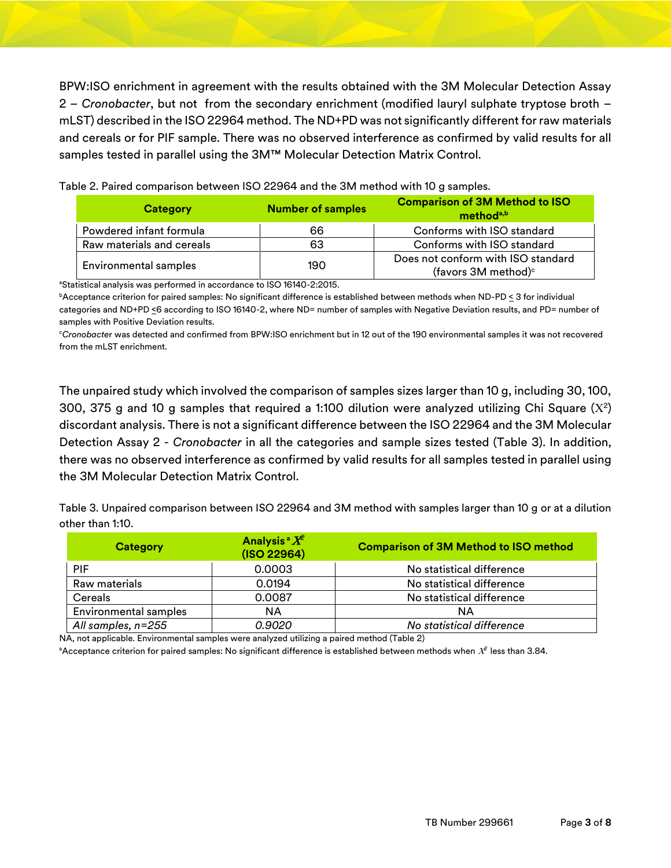BPW:ISO enrichment in agreement with the results obtained with the 3M Molecular Detection Assay 2 – *Cronobacter*, but not from the secondary enrichment (modified lauryl sulphate tryptose broth – mLST) described in the ISO 22964 method. The ND+PD was not significantly different for raw materials and cereals or for PIF sample. There was no observed interference as confirmed by valid results for all samples tested in parallel using the 3M™ Molecular Detection Matrix Control.

| Category                  | <b>Number of samples</b> | <b>Comparison of 3M Method to ISO</b><br>method <sup>a,b</sup>        |
|---------------------------|--------------------------|-----------------------------------------------------------------------|
| Powdered infant formula   | 66                       | Conforms with ISO standard                                            |
| Raw materials and cereals | 63                       | Conforms with ISO standard                                            |
| Environmental samples     | 190                      | Does not conform with ISO standard<br>(favors 3M method) <sup>c</sup> |

Table 2. Paired comparison between ISO 22964 and the 3M method with 10 g samples.

<sup>a</sup>Statistical analysis was performed in accordance to ISO 16140-2:2015.

<sup>b</sup>Acceptance criterion for paired samples: No significant difference is established between methods when ND-PD < 3 for individual categories and ND+PD <6 according to ISO 16140-2, where ND= number of samples with Negative Deviation results, and PD= number of samples with Positive Deviation results.

<sup>c</sup>*Cronobacte*r was detected and confirmed from BPW:ISO enrichment but in 12 out of the 190 environmental samples it was not recovered from the mLST enrichment.

The unpaired study which involved the comparison of samples sizes larger than 10 g, including 30, 100, 300, 375 g and 10 g samples that required a 1:100 dilution were analyzed utilizing Chi Square (X²) discordant analysis. There is not a significant difference between the ISO 22964 and the 3M Molecular Detection Assay 2 - *Cronobacter* in all the categories and sample sizes tested (Table 3). In addition, there was no observed interference as confirmed by valid results for all samples tested in parallel using the 3M Molecular Detection Matrix Control.

Table 3. Unpaired comparison between ISO 22964 and 3M method with samples larger than 10 g or at a dilution other than 1:10.

| <b>Category</b>              | Analysis <sup>a</sup> $X^2$<br>(ISO 22964) | <b>Comparison of 3M Method to ISO method</b> |
|------------------------------|--------------------------------------------|----------------------------------------------|
| <b>PIF</b>                   | 0.0003                                     | No statistical difference                    |
| Raw materials                | 0.0194                                     | No statistical difference                    |
| Cereals                      | 0.0087                                     | No statistical difference                    |
| <b>Environmental samples</b> | ΝA                                         | NA                                           |
| All samples, n=255           | 0.9020                                     | No statistical difference                    |

NA, not applicable. Environmental samples were analyzed utilizing a paired method (Table 2)

 $^{\circ}$ Acceptance criterion for paired samples: No significant difference is established between methods when  $\mathit{X}^{2}$  less than 3.84.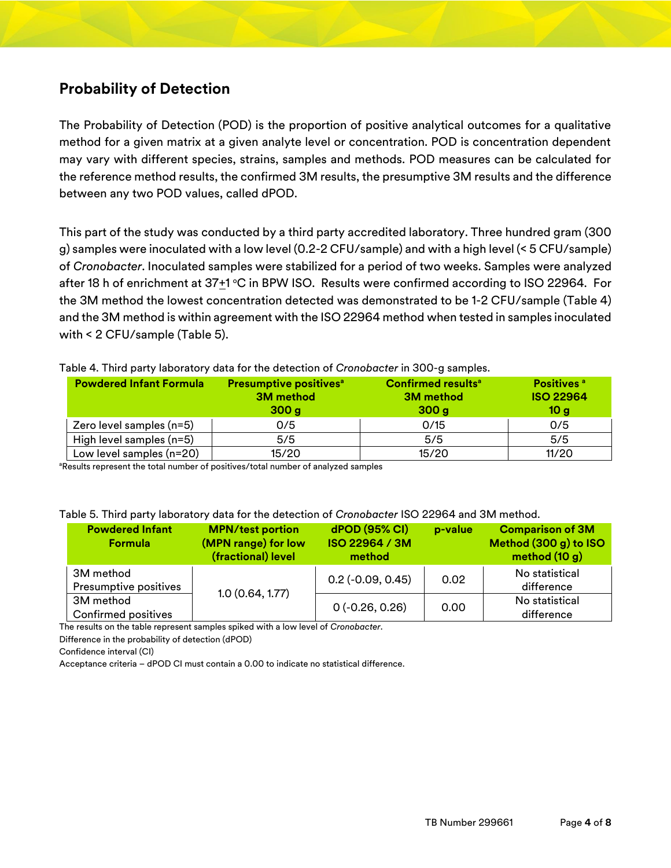## **Probability of Detection**

The Probability of Detection (POD) is the proportion of positive analytical outcomes for a qualitative method for a given matrix at a given analyte level or concentration. POD is concentration dependent may vary with different species, strains, samples and methods. POD measures can be calculated for the reference method results, the confirmed 3M results, the presumptive 3M results and the difference between any two POD values, called dPOD.

This part of the study was conducted by a third party accredited laboratory. Three hundred gram (300 g) samples were inoculated with a low level (0.2-2 CFU/sample) and with a high level (< 5 CFU/sample) of *Cronobacter*. Inoculated samples were stabilized for a period of two weeks. Samples were analyzed after 18 h of enrichment at 37<u>+</u>1 °C in BPW ISO. Results were confirmed according to ISO 22964. For the 3M method the lowest concentration detected was demonstrated to be 1-2 CFU/sample (Table 4) and the 3M method is within agreement with the ISO 22964 method when tested in samples inoculated with < 2 CFU/sample (Table 5).

| <b>Powdered Infant Formula</b> | <b>Presumptive positives<sup>a</sup></b><br><b>3M</b> method<br>300 <sub>g</sub> | <b>Confirmed results<sup>a</sup></b><br><b>3M</b> method<br>300 <sub>g</sub> | <b>Positives</b> <sup>a</sup><br><b>ISO 22964</b><br>10 <sub>g</sub> |
|--------------------------------|----------------------------------------------------------------------------------|------------------------------------------------------------------------------|----------------------------------------------------------------------|
| Zero level samples (n=5)       | 0/5                                                                              | 0/15                                                                         | 0/5                                                                  |
| High level samples (n=5)       | 5/5                                                                              | 5/5                                                                          | 5/5                                                                  |
| Low level samples (n=20)       | 15/20                                                                            | 15/20                                                                        | 11/20                                                                |

Table 4. Third party laboratory data for the detection of *Cronobacter* in 300-g samples.

<sup>a</sup>Results represent the total number of positives/total number of analyzed samples

#### Table 5. Third party laboratory data for the detection of *Cronobacter* ISO 22964 and 3M method.

| <b>Powdered Infant</b><br><b>Formula</b> | <b>MPN/test portion</b><br>(MPN range) for low<br>(fractional) level | dPOD (95% CI)<br>ISO 22964 / 3M<br>method | p-value | <b>Comparison of 3M</b><br>Method (300 g) to ISO<br>method (10 g) |
|------------------------------------------|----------------------------------------------------------------------|-------------------------------------------|---------|-------------------------------------------------------------------|
| 3M method<br>Presumptive positives       | 1.0(0.64, 1.77)                                                      | $0.2$ ( $-0.09$ , $0.45$ )                | 0.02    | No statistical<br>difference                                      |
| 3M method<br>Confirmed positives         |                                                                      | $0(-0.26, 0.26)$                          | 0.00    | No statistical<br>difference                                      |

The results on the table represent samples spiked with a low level of *Cronobacter*.

Difference in the probability of detection (dPOD)

Confidence interval (CI)

Acceptance criteria – dPOD CI must contain a 0.00 to indicate no statistical difference.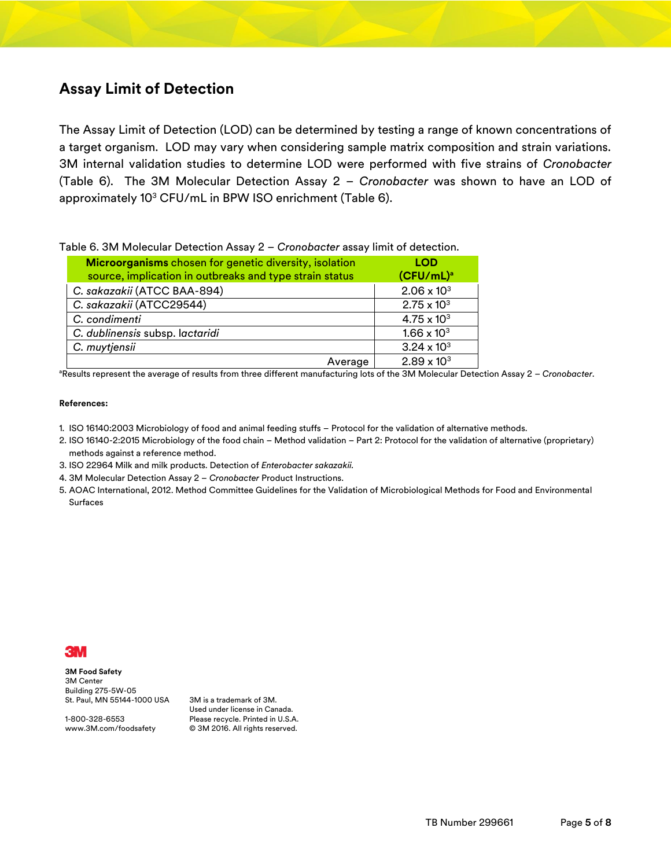#### **Assay Limit of Detection**

The Assay Limit of Detection (LOD) can be determined by testing a range of known concentrations of a target organism. LOD may vary when considering sample matrix composition and strain variations. 3M internal validation studies to determine LOD were performed with five strains of *Cronobacter*  (Table 6). The 3M Molecular Detection Assay 2 – *Cronobacter* was shown to have an LOD of approximately 10<sup>3</sup> CFU/mL in BPW ISO enrichment (Table 6).

| Table 6. 3M Molecular Detection Assay 2 - Cronobacter assay limit of detection. |  |
|---------------------------------------------------------------------------------|--|
|---------------------------------------------------------------------------------|--|

| Microorganisms chosen for genetic diversity, isolation<br>source, implication in outbreaks and type strain status | <b>LOD</b><br>$(CFU/mL)^a$ |
|-------------------------------------------------------------------------------------------------------------------|----------------------------|
| C. sakazakii (ATCC BAA-894)                                                                                       | $2.06 \times 10^{3}$       |
| C. sakazakii (ATCC29544)                                                                                          | $2.75 \times 10^{3}$       |
| C. condimenti                                                                                                     | $4.75 \times 10^{3}$       |
| C. dublinensis subsp. lactaridi                                                                                   | $1.66 \times 10^{3}$       |
| C. muytjensii                                                                                                     | $3.24 \times 10^{3}$       |
| Average                                                                                                           | $2.89 \times 10^{3}$       |

<sup>a</sup>Results represent the average of results from three different manufacturing lots of the 3M Molecular Detection Assay 2 - *Cronobacter*.

#### **References:**

- 1. ISO 16140:2003 Microbiology of food and animal feeding stuffs Protocol for the validation of alternative methods.
- 2. ISO 16140-2:2015 Microbiology of the food chain Method validation Part 2: Protocol for the validation of alternative (proprietary) methods against a reference method.
- 3. ISO 22964 Milk and milk products. Detection of *Enterobacter sakazakii.*
- 4. 3M Molecular Detection Assay 2 *Cronobacter* Product Instructions.
- 5. AOAC International, 2012. Method Committee Guidelines for the Validation of Microbiological Methods for Food and Environmental Surfaces



**3M Food Safety** 3M Center Building 275-5W-05 St. Paul, MN 55144-1000 USA

1-800-328-6553 www.3M.com/foodsafety

3M is a trademark of 3M. Used under license in Canada. Please recycle. Printed in U.S.A. © 3M 2016. All rights reserved.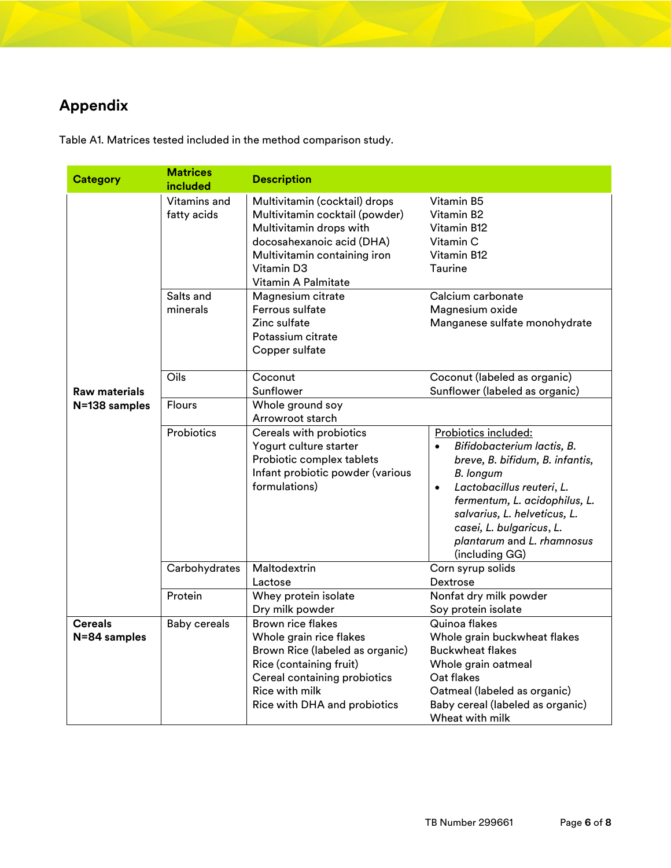## **Appendix**

| <b>Category</b>                | <b>Matrices</b><br>included | <b>Description</b>                                                                                                                                                                                  |                                                                                                                                                                                                                                                                                                               |
|--------------------------------|-----------------------------|-----------------------------------------------------------------------------------------------------------------------------------------------------------------------------------------------------|---------------------------------------------------------------------------------------------------------------------------------------------------------------------------------------------------------------------------------------------------------------------------------------------------------------|
|                                | Vitamins and<br>fatty acids | Multivitamin (cocktail) drops<br>Multivitamin cocktail (powder)<br>Multivitamin drops with<br>docosahexanoic acid (DHA)<br>Multivitamin containing iron<br>Vitamin D3<br>Vitamin A Palmitate        | Vitamin B5<br>Vitamin B2<br>Vitamin B12<br>Vitamin C<br>Vitamin B12<br><b>Taurine</b>                                                                                                                                                                                                                         |
|                                | Salts and<br>minerals       | Magnesium citrate<br>Ferrous sulfate<br>Zinc sulfate<br>Potassium citrate<br>Copper sulfate                                                                                                         | Calcium carbonate<br>Magnesium oxide<br>Manganese sulfate monohydrate                                                                                                                                                                                                                                         |
| <b>Raw materials</b>           | Oils                        | Coconut<br>Sunflower                                                                                                                                                                                | Coconut (labeled as organic)<br>Sunflower (labeled as organic)                                                                                                                                                                                                                                                |
| N=138 samples                  | <b>Flours</b>               | Whole ground soy<br>Arrowroot starch                                                                                                                                                                |                                                                                                                                                                                                                                                                                                               |
|                                | Probiotics                  | Cereals with probiotics<br>Yogurt culture starter<br>Probiotic complex tablets<br>Infant probiotic powder (various<br>formulations)                                                                 | Probiotics included:<br>Bifidobacterium lactis, B.<br>$\bullet$<br>breve, B. bifidum, B. infantis,<br><b>B.</b> longum<br>Lactobacillus reuteri, L.<br>$\bullet$<br>fermentum, L. acidophilus, L.<br>salvarius, L. helveticus, L.<br>casei, L. bulgaricus, L.<br>plantarum and L. rhamnosus<br>(including GG) |
|                                | Carbohydrates               | Maltodextrin<br>Lactose                                                                                                                                                                             | Corn syrup solids<br>Dextrose                                                                                                                                                                                                                                                                                 |
|                                | Protein                     | Whey protein isolate<br>Dry milk powder                                                                                                                                                             | Nonfat dry milk powder<br>Soy protein isolate                                                                                                                                                                                                                                                                 |
| <b>Cereals</b><br>N=84 samples | <b>Baby cereals</b>         | <b>Brown rice flakes</b><br>Whole grain rice flakes<br>Brown Rice (labeled as organic)<br>Rice (containing fruit)<br>Cereal containing probiotics<br>Rice with milk<br>Rice with DHA and probiotics | Quinoa flakes<br>Whole grain buckwheat flakes<br><b>Buckwheat flakes</b><br>Whole grain oatmeal<br>Oat flakes<br>Oatmeal (labeled as organic)<br>Baby cereal (labeled as organic)<br>Wheat with milk                                                                                                          |

Table A1. Matrices tested included in the method comparison study.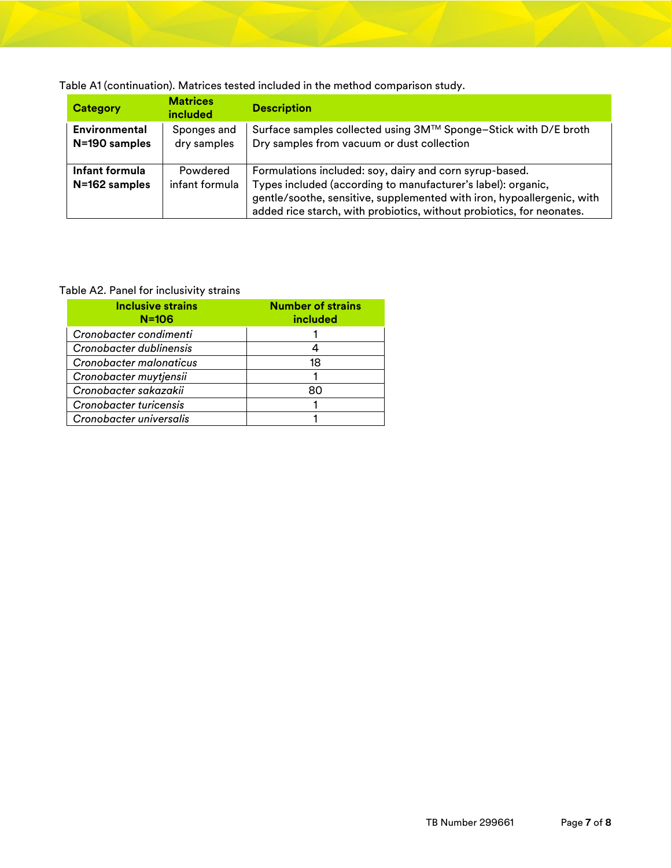Table A1 (continuation). Matrices tested included in the method comparison study.

| <b>Category</b>                       | <b>Matrices</b><br><b>included</b> | <b>Description</b>                                                                                                                                                                                                                                                         |
|---------------------------------------|------------------------------------|----------------------------------------------------------------------------------------------------------------------------------------------------------------------------------------------------------------------------------------------------------------------------|
| <b>Environmental</b><br>N=190 samples | Sponges and<br>dry samples         | Surface samples collected using 3M™ Sponge-Stick with D/E broth<br>Dry samples from vacuum or dust collection                                                                                                                                                              |
| Infant formula<br>N=162 samples       | Powdered<br>infant formula         | Formulations included: soy, dairy and corn syrup-based.<br>Types included (according to manufacturer's label): organic,<br>gentle/soothe, sensitive, supplemented with iron, hypoallergenic, with<br>added rice starch, with probiotics, without probiotics, for neonates. |

#### Table A2. Panel for inclusivity strains

| <b>Inclusive strains</b><br>$N = 106$ | <b>Number of strains</b><br>included |
|---------------------------------------|--------------------------------------|
| Cronobacter condimenti                |                                      |
| Cronobacter dublinensis               |                                      |
| Cronobacter malonaticus               | 18                                   |
| Cronobacter muytjensii                |                                      |
| Cronobacter sakazakii                 | 80                                   |
| Cronobacter turicensis                |                                      |
| Cronobacter universalis               |                                      |